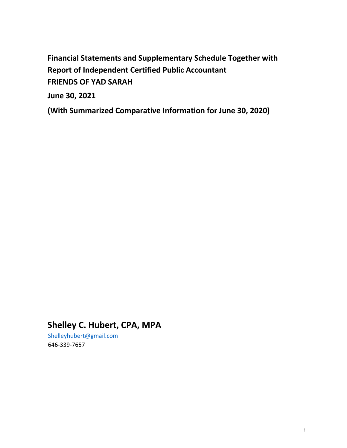# **Financial Statements and Supplementary Schedule Together with Report of Independent Certified Public Accountant FRIENDS OF YAD SARAH**

**June 30, 2021**

**(With Summarized Comparative Information for June 30, 2020)** 

# **Shelley C. Hubert, CPA, MPA**

Shelleyhubert@gmail.com 646-339-7657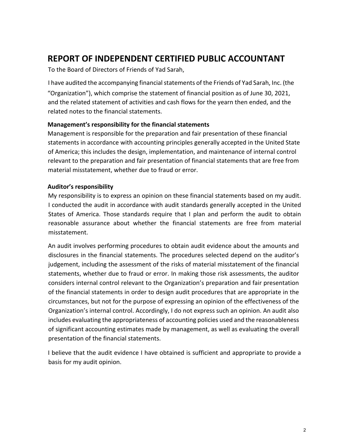# **REPORT OF INDEPENDENT CERTIFIED PUBLIC ACCOUNTANT**

To the Board of Directors of Friends of Yad Sarah,

I have audited the accompanying financial statements of the Friends of Yad Sarah, Inc. (the "Organization"), which comprise the statement of financial position as of June 30, 2021, and the related statement of activities and cash flows for the yearn then ended, and the related notes to the financial statements.

## **Management's responsibility for the financial statements**

Management is responsible for the preparation and fair presentation of these financial statements in accordance with accounting principles generally accepted in the United State of America; this includes the design, implementation, and maintenance of internal control relevant to the preparation and fair presentation of financial statements that are free from material misstatement, whether due to fraud or error.

## **Auditor's responsibility**

My responsibility is to express an opinion on these financial statements based on my audit. I conducted the audit in accordance with audit standards generally accepted in the United States of America. Those standards require that I plan and perform the audit to obtain reasonable assurance about whether the financial statements are free from material misstatement.

An audit involves performing procedures to obtain audit evidence about the amounts and disclosures in the financial statements. The procedures selected depend on the auditor's judgement, including the assessment of the risks of material misstatement of the financial statements, whether due to fraud or error. In making those risk assessments, the auditor considers internal control relevant to the Organization's preparation and fair presentation of the financial statements in order to design audit procedures that are appropriate in the circumstances, but not for the purpose of expressing an opinion of the effectiveness of the Organization's internal control. Accordingly, I do not express such an opinion. An audit also includes evaluating the appropriateness of accounting policies used and the reasonableness of significant accounting estimates made by management, as well as evaluating the overall presentation of the financial statements.

I believe that the audit evidence I have obtained is sufficient and appropriate to provide a basis for my audit opinion.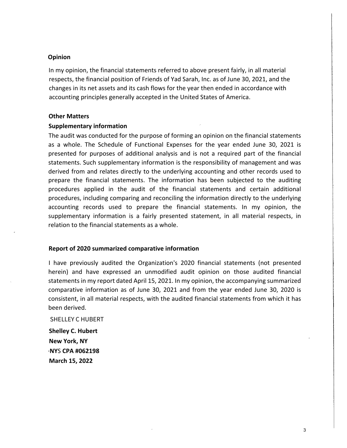#### **Opinion**

In my opinion, the financial statements referred to above present fairly, in all material respects, the financial position of Friends of Yad Sarah, Inc. as of June 30, 2021, and the changes in its net assets and its cash flows for the year then ended in accordance with accounting principles generally accepted in the United States of America.

#### **Other Matters**

#### **Supplementary information**

The audit was conducted for the purpose of forming an opinion on the financial statements as a whole. The Schedule of Functional Expenses for the year ended June 30, 2021 is presented for purposes of additional analysis and is not a required part of the financial statements. Such supplementary information is the responsibility of management and was derived from and relates directly to the underlying accounting and other records used to prepare the financial statements. The information has been subjected to the auditing procedures applied in the audit of the financial statements and certain additional procedures, including comparing and reconciling the information directly to the underlying accounting records used to prepare the financial statements. In my opinion, the supplementary information is a fairly presented statement, in all material respects, in relation to the financial statements as a whole.

### **Report of 2020 summarized comparative information**

I have previously audited the Organization's 2020 financial statements (not presented herein) and have expressed an unmodified audit opinion on those audited financial statements in my report dated April 15, 2021. In my opinion, the accompanying summarized comparative information as of June 30, 2021 and from the year ended June 30, 2020 is consistent, in all material respects, with the audited financial statements from which it has been derived.

#### SHELLEY C HUBERT

**Shelley C. Hubert New York, NY**  ·**NY**S **CPA #062198 March 15, 2022**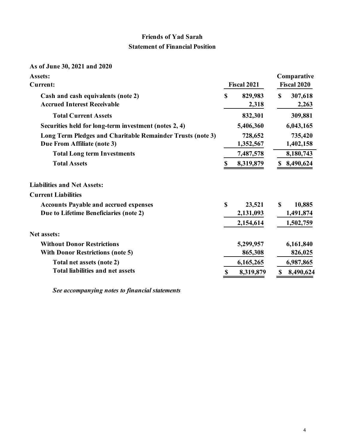## **Friends of Yad Sarah Statement of Financial Position**

## **As of June 30, 2021 and 2020**

| Assets:                                                    |                         | Comparative            |
|------------------------------------------------------------|-------------------------|------------------------|
| <b>Current:</b>                                            | Fiscal 2021             | Fiscal 2020            |
| Cash and cash equivalents (note 2)                         | $\mathbf S$<br>829,983  | $\mathbf S$<br>307,618 |
| <b>Accrued Interest Receivable</b>                         | 2,318                   | 2,263                  |
| <b>Total Current Assets</b>                                | 832,301                 | 309,881                |
| Securities held for long-term investment (notes 2, 4)      | 5,406,360               | 6,043,165              |
| Long Term Pledges and Charitable Remainder Trusts (note 3) | 728,652                 | 735,420                |
| Due From Affiliate (note 3)                                | 1,352,567               | 1,402,158              |
| <b>Total Long term Investments</b>                         | 7,487,578               | 8,180,743              |
| <b>Total Assets</b>                                        | 8,319,879               | 8,490,624<br>\$        |
| <b>Liabilities and Net Assets:</b>                         |                         |                        |
| <b>Current Liabilities</b>                                 |                         |                        |
| <b>Accounts Payable and accrued expenses</b>               | <sup>\$</sup><br>23,521 | 10,885<br>S            |
| Due to Lifetime Beneficiaries (note 2)                     | 2,131,093               | 1,491,874              |
|                                                            | 2,154,614               | 1,502,759              |
| <b>Net assets:</b>                                         |                         |                        |
| <b>Without Donor Restrictions</b>                          | 5,299,957               | 6,161,840              |
| <b>With Donor Restrictions (note 5)</b>                    | 865,308                 | 826,025                |
| Total net assets (note 2)                                  | 6,165,265               | 6,987,865              |
| <b>Total liabilities and net assets</b>                    | 8,319,879               | \$<br>8,490,624        |

*See accompanying notes to financial statements*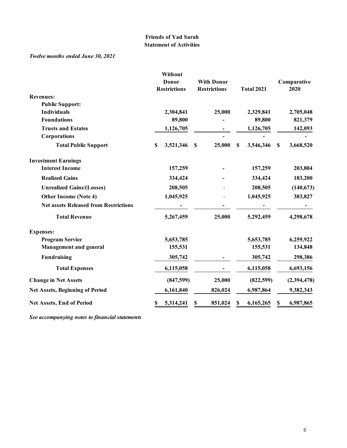#### **Friends of Yad Sarah Statement of Activities**

*Twelve months ended June 30, 2021*

|                                              | Without<br>Donor    | <b>With Donor</b>            |                   | Comparative     |
|----------------------------------------------|---------------------|------------------------------|-------------------|-----------------|
|                                              | <b>Restrictions</b> | <b>Restrictions</b>          | <b>Total 2021</b> | 2020            |
| <b>Revenues:</b>                             |                     |                              |                   |                 |
| <b>Public Support:</b>                       |                     |                              |                   |                 |
| <b>Individuals</b>                           | 2,304,841           | 25,000                       | 2,329,841         | 2,705,048       |
| <b>Foundations</b>                           | 89,800              |                              | 89,800            | 821,379         |
| <b>Trusts and Estates</b>                    | 1,126,705           |                              | 1,126,705         | 142,093         |
| <b>Corporations</b>                          |                     | $\qquad \qquad \blacksquare$ |                   |                 |
| <b>Total Public Support</b>                  | \$<br>3,521,346     | \$<br>25,000                 | S<br>3,546,346    | \$<br>3,668,520 |
| <b>Investment Earnings</b>                   |                     |                              |                   |                 |
| <b>Interest Income</b>                       | 157,259             |                              | 157,259           | 203,804         |
| <b>Realized Gains</b>                        | 334,424             |                              | 334,424           | 183,200         |
| <b>Unrealized Gains/(Losses)</b>             | 208,505             |                              | 208,505           | (140, 673)      |
| <b>Other Income (Note 4)</b>                 | 1,045,925           |                              | 1,045,925         | 383,827         |
| <b>Net assets Released from Restrictions</b> |                     |                              |                   |                 |
| <b>Total Revenue</b>                         | 5,267,459           | 25,000                       | 5,292,459         | 4,298,678       |
| <b>Expenses:</b>                             |                     |                              |                   |                 |
| <b>Program Service</b>                       | 5,653,785           |                              | 5,653,785         | 6,259,922       |
| <b>Management and general</b>                | 155,531             |                              | 155,531           | 134,848         |
| Fundraising                                  | 305,742             |                              | 305,742           | 298,386         |
| <b>Total Expenses</b>                        | 6,115,058           |                              | 6,115,058         | 6,693,156       |
| <b>Change in Net Assets</b>                  | (847,599)           | 25,000                       | (822, 599)        | (2,394,478)     |
| <b>Net Assets, Beginning of Period</b>       | 6,161,840           | 826,024                      | 6,987,864         | 9,382,343       |
| <b>Net Assets, End of Period</b>             | 5,314,241<br>\$     | \$<br>851,024                | 6,165,265<br>S    | 6,987,865<br>S  |

*See accompanying notes to financial statements*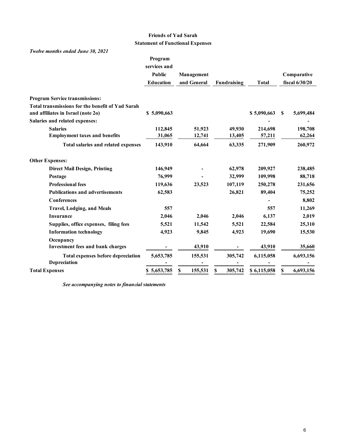## **Friends of Yad Sarah Statement of Functional Expenses**

*Twelve months ended June 30, 2021*

|                                                                                               | Program          |               |                    |              |                  |
|-----------------------------------------------------------------------------------------------|------------------|---------------|--------------------|--------------|------------------|
|                                                                                               | services and     |               |                    |              |                  |
|                                                                                               | Public           | Management    |                    |              | Comparative      |
|                                                                                               | <b>Education</b> | and General   | <b>Fundraising</b> | <b>Total</b> | fiscal $6/30/20$ |
| <b>Program Service transmissions:</b>                                                         |                  |               |                    |              |                  |
| <b>Total transmissions for the benefit of Yad Sarah</b><br>and affiliates in Israel (note 20) | \$5,090,663      |               |                    | \$5,090,663  | 5,699,484<br>S   |
| Salaries and related expenses:                                                                |                  |               |                    |              |                  |
| <b>Salaries</b>                                                                               | 112,845          | 51,923        | 49.930             | 214,698      | 198,708          |
| <b>Employment taxes and benefits</b>                                                          | 31,065           | 12,741        | 13,405             | 57,211       | 62,264           |
| Total salaries and related expenses                                                           | 143,910          | 64,664        | 63,335             | 271,909      | 260,972          |
| <b>Other Expenses:</b>                                                                        |                  |               |                    |              |                  |
| <b>Direct Mail Design, Printing</b>                                                           | 146,949          |               | 62,978             | 209,927      | 238,485          |
| Postage                                                                                       | 76,999           |               | 32,999             | 109,998      | 88,718           |
| <b>Professional fees</b>                                                                      | 119,636          | 23,523        | 107,119            | 250,278      | 231,656          |
| <b>Publications and advertisements</b>                                                        | 62,583           |               | 26,821             | 89,404       | 75,252           |
| Conferences                                                                                   |                  |               |                    |              | 8,802            |
| <b>Travel, Lodging, and Meals</b>                                                             | 557              |               |                    | 557          | 11,269           |
| <b>Insurance</b>                                                                              | 2,046            | 2,046         | 2,046              | 6,137        | 2,019            |
| Supplies, office expenses, filing fees                                                        | 5,521            | 11,542        | 5,521              | 22,584       | 25,310           |
| <b>Information technology</b>                                                                 | 4,923            | 9,845         | 4.923              | 19,690       | 15,530           |
| Occupancy                                                                                     |                  |               |                    |              |                  |
| <b>Investment fees and bank charges</b>                                                       |                  | 43,910        |                    | 43,910       | 35,660           |
| Total expenses before depreciation<br><b>Depreciation</b>                                     | 5,653,785        | 155,531       | 305,742            | 6,115,058    | 6,693,156        |
| <b>Total Expenses</b>                                                                         | \$5,653,785      | \$<br>155,531 | S<br>305,742       | \$6,115,058  | \$<br>6,693,156  |

*See accompanying notes to financial statements*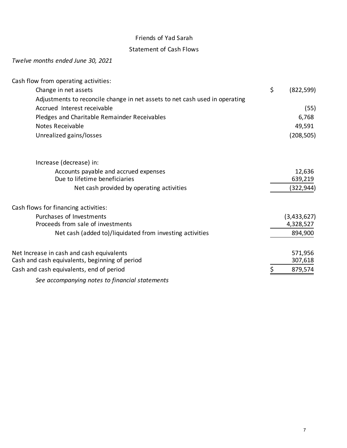## Friends of Yad Sarah

## Statement of Cash Flows

## *Twelve months ended June 30, 2021*

| Cash flow from operating activities:                                        |                  |
|-----------------------------------------------------------------------------|------------------|
| Change in net assets                                                        | \$<br>(822, 599) |
| Adjustments to reconcile change in net assets to net cash used in operating |                  |
| Accrued Interest receivable                                                 | (55)             |
| Pledges and Charitable Remainder Receivables                                | 6,768            |
| Notes Receivable                                                            | 49,591           |
| Unrealized gains/losses                                                     | (208, 505)       |
| Increase (decrease) in:                                                     |                  |
| Accounts payable and accrued expenses                                       | 12,636           |
| Due to lifetime beneficiaries                                               | 639,219          |
| Net cash provided by operating activities                                   | (322, 944)       |
| Cash flows for financing activities:                                        |                  |
| Purchases of Investments                                                    | (3,433,627)      |
| Proceeds from sale of investments                                           | 4,328,527        |
| Net cash (added to)/liquidated from investing activities                    | 894,900          |
| Net Increase in cash and cash equivalents                                   | 571,956          |
| Cash and cash equivalents, beginning of period                              | 307,618          |
| Cash and cash equivalents, end of period                                    | 879,574          |
| See accompanying notes to financial statements                              |                  |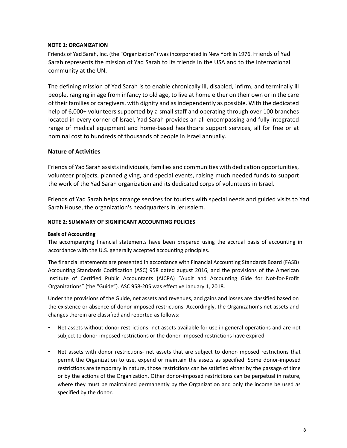#### **NOTE 1: ORGANIZATION**

Friends of Yad Sarah, Inc. (the "Organization") was incorporated in New York in 1976. Friends of Yad Sarah represents the mission of Yad Sarah to its friends in the USA and to the international community at the UN**.** 

The defining mission of Yad Sarah is to enable chronically ill, disabled, infirm, and terminally ill people, ranging in age from infancy to old age, to live at home either on their own or in the care of their families or caregivers, with dignity and as independently as possible. With the dedicated help of 6,000+ volunteers supported by a small staff and operating through over 100 branches located in every corner of Israel, Yad Sarah provides an all-encompassing and fully integrated range of medical equipment and home-based healthcare support services, all for free or at nominal cost to hundreds of thousands of people in Israel annually.

#### **Nature of Activities**

Friends of Yad Sarah assists individuals, families and communities with dedication opportunities, volunteer projects, planned giving, and special events, raising much needed funds to support the work of the Yad Sarah organization and its dedicated corps of volunteers in Israel.

Friends of Yad Sarah helps arrange services for tourists with special needs and guided visits to Yad Sarah House, the organization's headquarters in Jerusalem.

#### **NOTE 2: SUMMARY OF SIGNIFICANT ACCOUNTING POLICIES**

#### **Basis of Accounting**

The accompanying financial statements have been prepared using the accrual basis of accounting in accordance with the U.S. generally accepted accounting principles.

The financial statements are presented in accordance with Financial Accounting Standards Board (FASB) Accounting Standards Codification (ASC) 958 dated august 2016, and the provisions of the American Institute of Certified Public Accountants (AICPA) "Audit and Accounting Gide for Not-for-Profit Organizations" (the "Guide"). ASC 958-205 was effective January 1, 2018.

Under the provisions of the Guide, net assets and revenues, and gains and losses are classified based on the existence or absence of donor-imposed restrictions. Accordingly, the Organization's net assets and changes therein are classified and reported as follows:

- Net assets without donor restrictions- net assets available for use in general operations and are not subject to donor-imposed restrictions or the donor-imposed restrictions have expired.
- Net assets with donor restrictions- net assets that are subject to donor-imposed restrictions that permit the Organization to use, expend or maintain the assets as specified. Some donor-imposed restrictions are temporary in nature, those restrictions can be satisfied either by the passage of time or by the actions of the Organization. Other donor-imposed restrictions can be perpetual in nature, where they must be maintained permanently by the Organization and only the income be used as specified by the donor.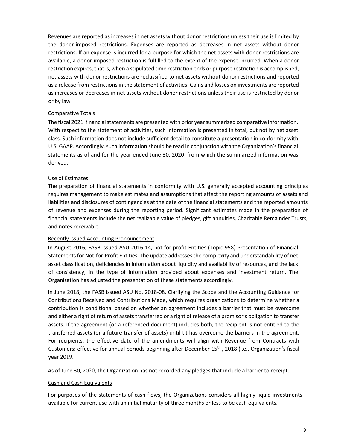Revenues are reported as increases in net assets without donor restrictions unless their use is limited by the donor-imposed restrictions. Expenses are reported as decreases in net assets without donor restrictions. If an expense is incurred for a purpose for which the net assets with donor restrictions are available, a donor-imposed restriction is fulfilled to the extent of the expense incurred. When a donor restriction expires, that is, when a stipulated time restriction ends or purpose restriction is accomplished, net assets with donor restrictions are reclassified to net assets without donor restrictions and reported as a release from restrictions in the statement of activities. Gains and losses on investments are reported as increases or decreases in net assets without donor restrictions unless their use is restricted by donor or by law.

#### Comparative Totals

The fiscal 2021 financial statements are presented with prior year summarized comparative information. With respect to the statement of activities, such information is presented in total, but not by net asset class. Such information does not include sufficient detail to constitute a presentation in conformity with U.S. GAAP. Accordingly, such information should be read in conjunction with the Organization's financial statements as of and for the year ended June 30, 2020, from which the summarized information was derived.

#### Use of Estimates

The preparation of financial statements in conformity with U.S. generally accepted accounting principles requires management to make estimates and assumptions that affect the reporting amounts of assets and liabilities and disclosures of contingencies at the date of the financial statements and the reported amounts of revenue and expenses during the reporting period. Significant estimates made in the preparation of financial statements include the net realizable value of pledges, gift annuities, Charitable Remainder Trusts, and notes receivable.

#### Recently issued Accounting Pronouncement

In August 2016, FASB issued ASU 2016-14, not-for-profit Entities (Topic 958) Presentation of Financial Statements for Not-for-Profit Entities. The update addresses the complexity and understandability of net asset classification, deficiencies in information about liquidity and availability of resources, and the lack of consistency, in the type of information provided about expenses and investment return. The Organization has adjusted the presentation of these statements accordingly.

In June 2018, the FASB issued ASU No. 2018-08, Clarifying the Scope and the Accounting Guidance for Contributions Received and Contributions Made, which requires organizations to determine whether a contribution is conditional based on whether an agreement includes a barrier that must be overcome and either a right of return of assets transferred or a right of release of a promisor's obligation to transfer assets. If the agreement (or a referenced document) includes both, the recipient is not entitled to the transferred assets (or a future transfer of assets) until tit has overcome the barriers in the agreement. For recipients, the effective date of the amendments will align with Revenue from Contracts with Customers: effective for annual periods beginning after December 15th , 2018 (i.e., Organization's fiscal year 2019.

As of June 30, 2020, the Organization has not recorded any pledges that include a barrier to receipt.

#### Cash and Cash Equivalents

For purposes of the statements of cash flows, the Organizations considers all highly liquid investments available for current use with an initial maturity of three months or less to be cash equivalents.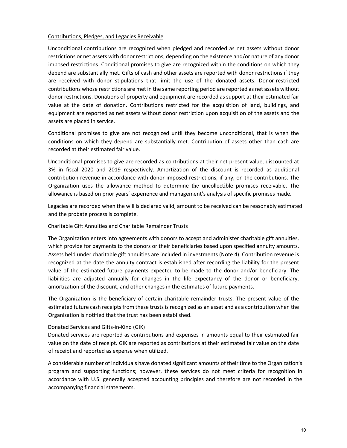#### Contributions, Pledges, and Legacies Receivable

Unconditional contributions are recognized when pledged and recorded as net assets without donor restrictions or net assets with donor restrictions, depending on the existence and/or nature of any donor imposed restrictions. Conditional promises to give are recognized within the conditions on which they depend are substantially met. Gifts of cash and other assets are reported with donor restrictions if they are received with donor stipulations that limit the use of the donated assets. Donor-restricted contributions whose restrictions are met in the same reporting period are reported as net assets without donor restrictions. Donations of property and equipment are recorded as support at their estimated fair value at the date of donation. Contributions restricted for the acquisition of land, buildings, and equipment are reported as net assets without donor restriction upon acquisition of the assets and the assets are placed in service.

Conditional promises to give are not recognized until they become unconditional, that is when the conditions on which they depend are substantially met. Contribution of assets other than cash are recorded at their estimated fair value.

Unconditional promises to give are recorded as contributions at their net present value, discounted at 3% in fiscal 2020 and 2019 respectively. Amortization of the discount is recorded as additional contribution revenue in accordance with donor-imposed restrictions, if any, on the contributions. The Organization uses the allowance method to determine the uncollectible promises receivable. The allowance is based on prior years' experience and management's analysis of specific promises made.

Legacies are recorded when the will is declared valid, amount to be received can be reasonably estimated and the probate process is complete.

#### Charitable Gift Annuities and Charitable Remainder Trusts

The Organization enters into agreements with donors to accept and administer charitable gift annuities, which provide for payments to the donors or their beneficiaries based upon specified annuity amounts. Assets held under charitable gift annuities are included in investments (Note 4). Contribution revenue is recognized at the date the annuity contract is established after recording the liability for the present value of the estimated future payments expected to be made to the donor and/or beneficiary. The liabilities are adjusted annually for changes in the life expectancy of the donor or beneficiary, amortization of the discount, and other changes in the estimates of future payments.

The Organization is the beneficiary of certain charitable remainder trusts. The present value of the estimated future cash receipts from these trusts is recognized as an asset and as a contribution when the Organization is notified that the trust has been established.

#### Donated Services and Gifts-in-Kind (GIK)

Donated services are reported as contributions and expenses in amounts equal to their estimated fair value on the date of receipt. GIK are reported as contributions at their estimated fair value on the date of receipt and reported as expense when utilized.

A considerable number of individuals have donated significant amounts of their time to the Organization's program and supporting functions; however, these services do not meet criteria for recognition in accordance with U.S. generally accepted accounting principles and therefore are not recorded in the accompanying financial statements.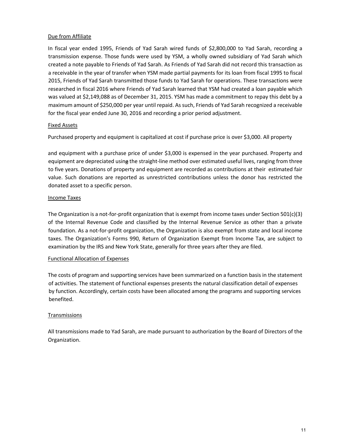#### Due from Affiliate

In fiscal year ended 1995, Friends of Yad Sarah wired funds of \$2,800,000 to Yad Sarah, recording a transmission expense. Those funds were used by YSM, a wholly owned subsidiary of Yad Sarah which created a note payable to Friends of Yad Sarah. As Friends of Yad Sarah did not record this transaction as a receivable in the year of transfer when YSM made partial payments for its loan from fiscal 1995 to fiscal 2015, Friends of Yad Sarah transmitted those funds to Yad Sarah for operations. These transactions were researched in fiscal 2016 where Friends of Yad Sarah learned that YSM had created a loan payable which was valued at \$2,149,088 as of December 31, 2015. YSM has made a commitment to repay this debt by a maximum amount of \$250,000 per year until repaid. As such, Friends of Yad Sarah recognized a receivable for the fiscal year ended June 30, 2016 and recording a prior period adjustment.

#### Fixed Assets

Purchased property and equipment is capitalized at cost if purchase price is over \$3,000. All property

and equipment with a purchase price of under \$3,000 is expensed in the year purchased. Property and equipment are depreciated using the straight-line method over estimated useful lives, ranging from three to five years. Donations of property and equipment are recorded as contributions at their estimated fair value. Such donations are reported as unrestricted contributions unless the donor has restricted the donated asset to a specific person.

#### Income Taxes

The Organization is a not-for-profit organization that is exempt from income taxes under Section 501(c)(3) of the Internal Revenue Code and classified by the Internal Revenue Service as other than a private foundation. As a not-for-profit organization, the Organization is also exempt from state and local income taxes. The Organization's Forms 990, Return of Organization Exempt from Income Tax, are subject to examination by the IRS and New York State, generally for three years after they are filed.

#### Functional Allocation of Expenses

The costs of program and supporting services have been summarized on a function basis in the statement of activities. The statement of functional expenses presents the natural classification detail of expenses by function. Accordingly, certain costs have been allocated among the programs and supporting services benefited.

#### Transmissions

All transmissions made to Yad Sarah, are made pursuant to authorization by the Board of Directors of the Organization.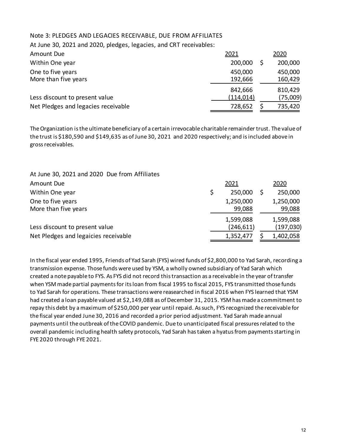## Note 3: PLEDGES AND LEGACIES RECEIVABLE, DUE FROM AFFILIATES

At June 30, 2021 and 2020, pledges, legacies, and CRT receivables:

| Amount Due                          | 2021       | 2020     |
|-------------------------------------|------------|----------|
| Within One year                     | 200,000    | 200,000  |
| One to five years                   | 450,000    | 450,000  |
| More than five years                | 192,666    | 160,429  |
|                                     | 842,666    | 810,429  |
| Less discount to present value      | (114, 014) | (75,009) |
| Net Pledges and legacies receivable | 728,652    | 735,420  |

The Organization is the ultimate beneficiary of a certain irrevocable charitable remainder trust. The value of the trust is \$180,590 and \$149,635 as of June 30, 2021 and 2020 respectively; and is included above in gross receivables.

| At June 30, 2021 and 2020 Due from Affiliates |                         |                         |
|-----------------------------------------------|-------------------------|-------------------------|
| Amount Due                                    | 2021                    | 2020                    |
| Within One year                               | \$<br>250,000           | 250,000                 |
| One to five years<br>More than five years     | 1,250,000<br>99,088     | 1,250,000<br>99,088     |
| Less discount to present value                | 1,599,088<br>(246, 611) | 1,599,088<br>(197, 030) |
| Net Pledges and legaicies receivable          | 1,352,477               | 1,402,058               |

In the fiscal year ended 1995, Friends of Yad Sarah (FYS) wired funds of \$2,800,000 to Yad Sarah, recording a transmission expense. Those funds were used by YSM, a wholly owned subsidiary of Yad Sarah which created a note payable to FYS. As FYS did not record this transaction as a receivable in the year of transfer when YSM made partial payments for its loan from fiscal 1995 to fiscal 2015, FYS transmitted those funds to Yad Sarah for operations. These transactions were reasearched in fiscal 2016 when FYS learned that YSM had created a loan payable valued at \$2,149,088 as of December 31, 2015. YSM has made a commitment to repay this debt by a maximum of \$250,000 per year until repaid. As such, FYS recognized the receivable for the fiscal year ended June 30, 2016 and recorded a prior period adjustment. Yad Sarah made annual payments until the outbreak of the COVID pandemic. Due to unanticipated fiscal pressures related to the overall pandemic including health safety protocols, Yad Sarah has taken a hyatus from payments starting in FYE 2020 through FYE 2021.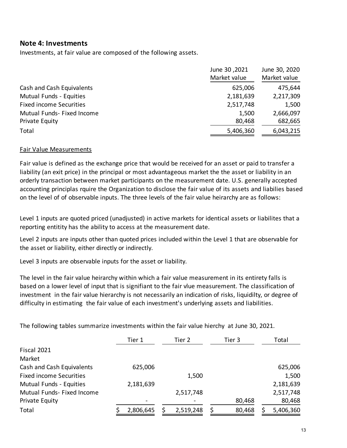## **Note 4: Investments**

Investments, at fair value are composed of the following assets.

|                                | June 30, 2021<br>Market value | June 30, 2020<br>Market value |
|--------------------------------|-------------------------------|-------------------------------|
| Cash and Cash Equivalents      | 625,006                       | 475,644                       |
| Mutual Funds - Equities        | 2,181,639                     | 2,217,309                     |
| <b>Fixed income Securities</b> | 2,517,748                     | 1,500                         |
| Mutual Funds- Fixed Income     | 1,500                         | 2,666,097                     |
| Private Equity                 | 80,468                        | 682,665                       |
| Total                          | 5,406,360                     | 6,043,215                     |

#### Fair Value Measurements

Fair value is defined as the exchange price that would be received for an asset or paid to transfer a liability (an exit price) in the principal or most advantageous market the the asset or liability in an orderly transaction between market participants on the measurement date. U.S. generally accepted accounting principlas rquire the Organization to disclose the fair value of its assets and liabilies based on the level of of observable inputs. The three levels of the fair value heirarchy are as follows:

Level 1 inputs are quoted priced (unadjusted) in active markets for identical assets or liabilites that a reporting entitity has the ability to access at the measurement date.

Level 2 inputs are inputs other than quoted prices included within the Level 1 that are observable for the asset or liability, either directly or indirectly.

Level 3 inputs are observable inputs for the asset or liability.

The level in the fair value heirarchy within which a fair value measurement in its entirety falls is based on a lower level of input that is signifiant to the fair vlue measurement. The classification of investment in the fair value hierarchy is not necessarily an indication of risks, liquidilty, or degree of difficulty in estimating the fair value of each investment's underlying assets and liabilities.

The following tables summarize investments within the fair value hierchy at June 30, 2021.

|                                | Tier 1    | Tier 2    | Tier 3 | Total     |
|--------------------------------|-----------|-----------|--------|-----------|
| Fiscal 2021                    |           |           |        |           |
| Market                         |           |           |        |           |
| Cash and Cash Equivalents      | 625,006   |           |        | 625,006   |
| <b>Fixed income Securities</b> |           | 1,500     |        | 1,500     |
| Mutual Funds - Equities        | 2,181,639 |           |        | 2,181,639 |
| Mutual Funds- Fixed Income     |           | 2,517,748 |        | 2,517,748 |
| Private Equity                 |           |           | 80,468 | 80,468    |
| Total                          | 2,806,645 | 2,519,248 | 80,468 | 5,406,360 |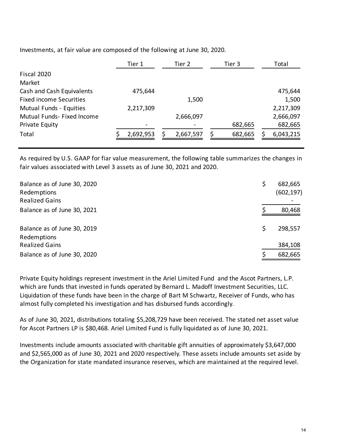Investments, at fair value are composed of the following at June 30, 2020.

|                                | Tier 1    | Tier 2    | Tier 3  | Total     |
|--------------------------------|-----------|-----------|---------|-----------|
| Fiscal 2020                    |           |           |         |           |
| Market                         |           |           |         |           |
| Cash and Cash Equivalents      | 475,644   |           |         | 475,644   |
| <b>Fixed income Securities</b> |           | 1,500     |         | 1,500     |
| Mutual Funds - Equities        | 2,217,309 |           |         | 2,217,309 |
| Mutual Funds- Fixed Income     |           | 2,666,097 |         | 2,666,097 |
| Private Equity                 |           |           | 682,665 | 682,665   |
| Total                          | 2,692,953 | 2,667,597 | 682,665 | 6,043,215 |

As required by U.S. GAAP for fiar value measurement, the following table summarizes the changes in fair values associated with Level 3 assets as of June 30, 2021 and 2020.

| Balance as of June 30, 2020 | 682,665    |
|-----------------------------|------------|
| Redemptions                 | (602, 197) |
| <b>Realized Gains</b>       |            |
| Balance as of June 30, 2021 | 80,468     |
| Balance as of June 30, 2019 | 298,557    |
| Redemptions                 |            |
| <b>Realized Gains</b>       | 384,108    |
| Balance as of June 30, 2020 | 682,665    |

Private Equity holdings represent investment in the Ariel Limited Fund and the Ascot Partners, L.P. which are funds that invested in funds operated by Bernard L. Madoff Investment Securities, LLC. Liquidation of these funds have been in the charge of Bart M Schwartz, Receiver of Funds, who has almost fully completed his investigation and has disbursed funds accordingly.

As of June 30, 2021, distributions totaling \$5,208,729 have been received. The stated net asset value for Ascot Partners LP is \$80,468. Ariel Limited Fund is fully liquidated as of June 30, 2021.

Investments include amounts associated with charitable gift annuities of approximately \$3,647,000 and \$2,565,000 as of June 30, 2021 and 2020 respectively. These assets include amounts set aside by the Organization for state mandated insurance reserves, which are maintained at the required level.